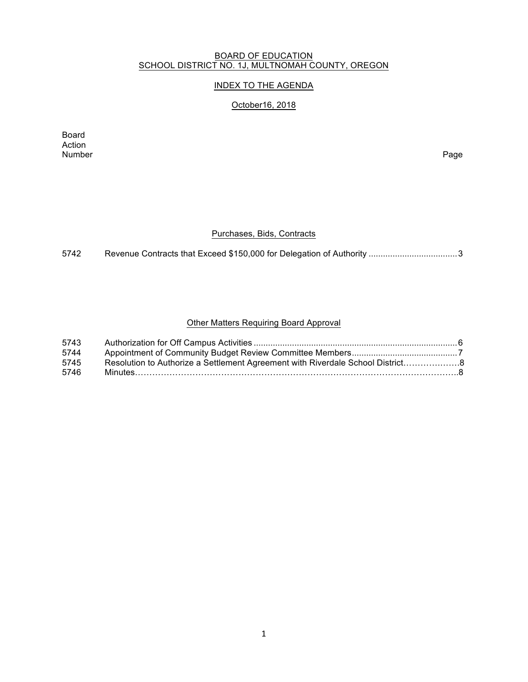#### BOARD OF EDUCATION SCHOOL DISTRICT NO. 1J, MULTNOMAH COUNTY, OREGON

# INDEX TO THE AGENDA

# October16, 2018

Board Action<br>Number Number Page

#### Purchases, Bids, Contracts

5742 Revenue Contracts that Exceed \$150,000 for Delegation of Authority .....................................3

### Other Matters Requiring Board Approval

| 5743 |                                                                               |  |
|------|-------------------------------------------------------------------------------|--|
| 5744 |                                                                               |  |
| 5745 | Resolution to Authorize a Settlement Agreement with Riverdale School District |  |
| 5746 |                                                                               |  |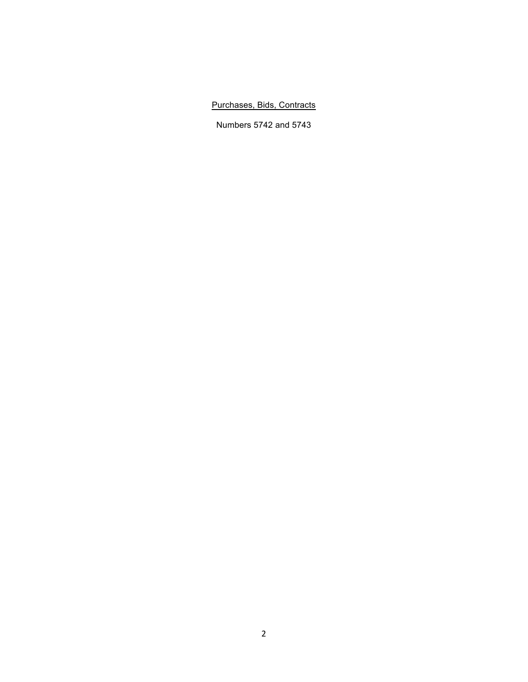# Purchases, Bids, Contracts

Numbers 5742 and 5743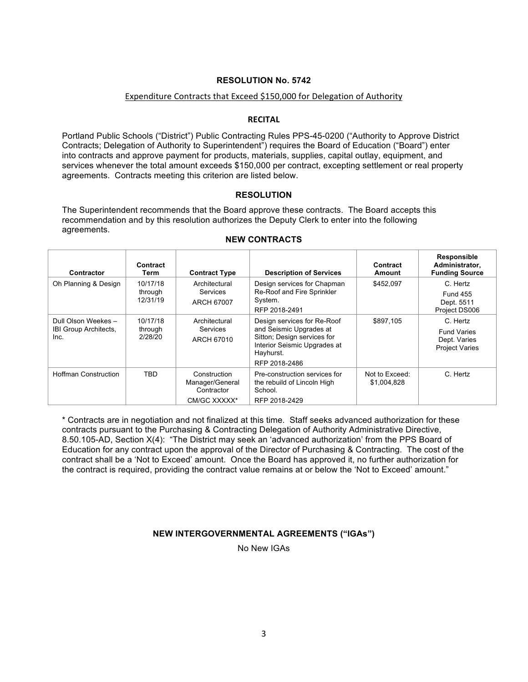#### Expenditure Contracts that Exceed \$150,000 for Delegation of Authority

#### **RECITAL**

Portland Public Schools ("District") Public Contracting Rules PPS-45-0200 ("Authority to Approve District Contracts; Delegation of Authority to Superintendent") requires the Board of Education ("Board") enter into contracts and approve payment for products, materials, supplies, capital outlay, equipment, and services whenever the total amount exceeds \$150,000 per contract, excepting settlement or real property agreements. Contracts meeting this criterion are listed below.

#### **RESOLUTION**

The Superintendent recommends that the Board approve these contracts. The Board accepts this recommendation and by this resolution authorizes the Deputy Clerk to enter into the following agreements.

| Contractor                                           | Contract<br>Term                | <b>Contract Type</b>                                          | <b>Description of Services</b>                                                                                                                      | Contract<br>Amount            | Responsible<br>Administrator,<br><b>Funding Source</b>                  |
|------------------------------------------------------|---------------------------------|---------------------------------------------------------------|-----------------------------------------------------------------------------------------------------------------------------------------------------|-------------------------------|-------------------------------------------------------------------------|
| Oh Planning & Design                                 | 10/17/18<br>through<br>12/31/19 | Architectural<br>Services<br>ARCH 67007                       | Design services for Chapman<br>Re-Roof and Fire Sprinkler<br>System.<br>RFP 2018-2491                                                               | \$452.097                     | C. Hertz<br><b>Fund 455</b><br>Dept. 5511<br>Project DS006              |
| Dull Olson Weekes -<br>IBI Group Architects,<br>Inc. | 10/17/18<br>through<br>2/28/20  | Architectural<br><b>Services</b><br>ARCH 67010                | Design services for Re-Roof<br>and Seismic Upgrades at<br>Sitton; Design services for<br>Interior Seismic Upgrades at<br>Hayhurst.<br>RFP 2018-2486 | \$897.105                     | C. Hertz<br><b>Fund Varies</b><br>Dept. Varies<br><b>Project Varies</b> |
| <b>Hoffman Construction</b>                          | <b>TBD</b>                      | Construction<br>Manager/General<br>Contractor<br>CM/GC XXXXX* | Pre-construction services for<br>the rebuild of Lincoln High<br>School.<br>RFP 2018-2429                                                            | Not to Exceed:<br>\$1,004,828 | C. Hertz                                                                |

#### **NEW CONTRACTS**

\* Contracts are in negotiation and not finalized at this time. Staff seeks advanced authorization for these contracts pursuant to the Purchasing & Contracting Delegation of Authority Administrative Directive, 8.50.105-AD, Section X(4): "The District may seek an 'advanced authorization' from the PPS Board of Education for any contract upon the approval of the Director of Purchasing & Contracting. The cost of the contract shall be a 'Not to Exceed' amount. Once the Board has approved it, no further authorization for the contract is required, providing the contract value remains at or below the 'Not to Exceed' amount."

#### **NEW INTERGOVERNMENTAL AGREEMENTS ("IGAs")**

No New IGAs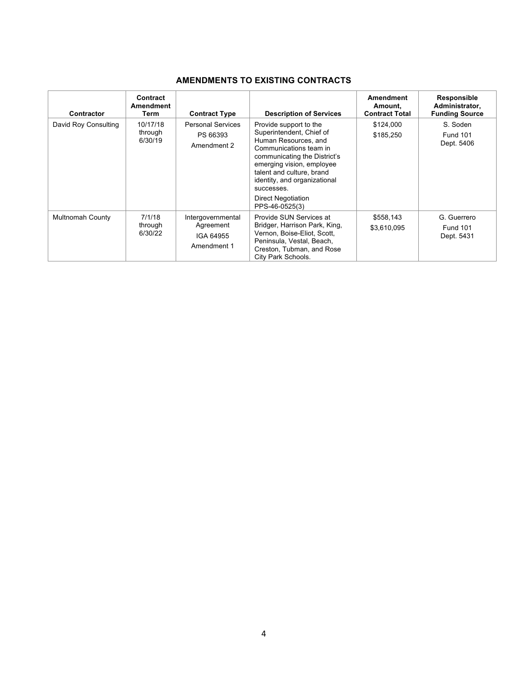# **AMENDMENTS TO EXISTING CONTRACTS**

| <b>Contractor</b>       | Contract<br>Amendment<br>Term  | <b>Contract Type</b>                                       | <b>Description of Services</b>                                                                                                                                                                                                                                                       | <b>Amendment</b><br>Amount,<br><b>Contract Total</b> | Responsible<br>Administrator,<br><b>Funding Source</b> |
|-------------------------|--------------------------------|------------------------------------------------------------|--------------------------------------------------------------------------------------------------------------------------------------------------------------------------------------------------------------------------------------------------------------------------------------|------------------------------------------------------|--------------------------------------------------------|
| David Roy Consulting    | 10/17/18<br>through<br>6/30/19 | <b>Personal Services</b><br>PS 66393<br>Amendment 2        | Provide support to the<br>Superintendent, Chief of<br>Human Resources, and<br>Communications team in<br>communicating the District's<br>emerging vision, employee<br>talent and culture, brand<br>identity, and organizational<br>successes.<br>Direct Negotiation<br>PPS-46-0525(3) | \$124,000<br>\$185,250                               | S. Soden<br><b>Fund 101</b><br>Dept. 5406              |
| <b>Multnomah County</b> | 7/1/18<br>through<br>6/30/22   | Intergovernmental<br>Agreement<br>IGA 64955<br>Amendment 1 | Provide SUN Services at<br>Bridger, Harrison Park, King,<br>Vernon, Boise-Eliot, Scott,<br>Peninsula, Vestal, Beach,<br>Creston, Tubman, and Rose<br>City Park Schools.                                                                                                              | \$558,143<br>\$3,610,095                             | G. Guerrero<br><b>Fund 101</b><br>Dept. 5431           |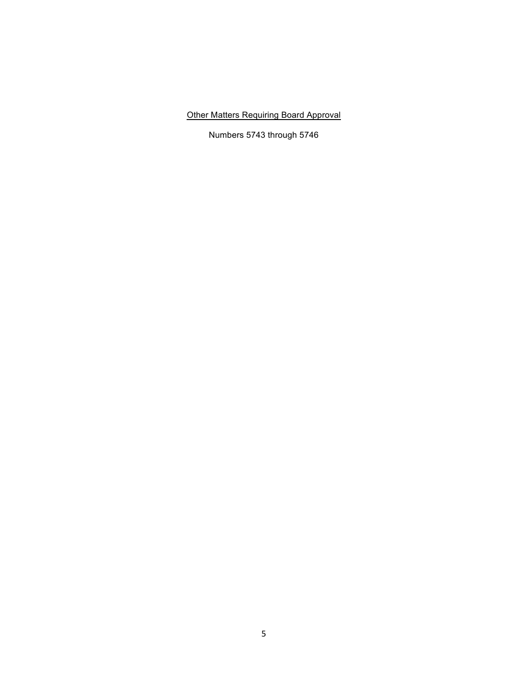Other Matters Requiring Board Approval

Numbers 5743 through 5746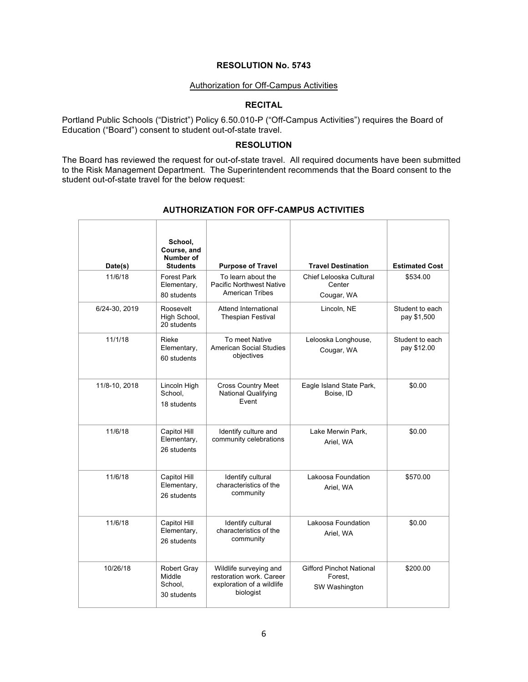#### Authorization for Off-Campus Activities

# **RECITAL**

Portland Public Schools ("District") Policy 6.50.010-P ("Off-Campus Activities") requires the Board of Education ("Board") consent to student out-of-state travel.

### **RESOLUTION**

The Board has reviewed the request for out-of-state travel. All required documents have been submitted to the Risk Management Department. The Superintendent recommends that the Board consent to the student out-of-state travel for the below request:

| Date(s)       | School,<br>Course, and<br>Number of<br><b>Students</b> | <b>Purpose of Travel</b>                                                                     | <b>Travel Destination</b>                                   | <b>Estimated Cost</b>          |
|---------------|--------------------------------------------------------|----------------------------------------------------------------------------------------------|-------------------------------------------------------------|--------------------------------|
| 11/6/18       | <b>Forest Park</b><br>Elementary,<br>80 students       | To learn about the<br><b>Pacific Northwest Native</b><br><b>American Tribes</b>              | Chief Lelooska Cultural<br>Center<br>Cougar, WA             | \$534.00                       |
| 6/24-30, 2019 | Roosevelt<br>High School,<br>20 students               | Attend International<br><b>Thespian Festival</b>                                             | Lincoln, NE                                                 | Student to each<br>pay \$1,500 |
| 11/1/18       | Rieke<br>Elementary,<br>60 students                    | To meet Native<br>American Social Studies<br>objectives                                      | Lelooska Longhouse,<br>Cougar, WA                           | Student to each<br>pay \$12.00 |
| 11/8-10, 2018 | Lincoln High<br>School,<br>18 students                 | <b>Cross Country Meet</b><br><b>National Qualifying</b><br>Event                             | Eagle Island State Park,<br>Boise, ID                       | \$0.00                         |
| 11/6/18       | Capitol Hill<br>Elementary,<br>26 students             | Identify culture and<br>community celebrations                                               | Lake Merwin Park.<br>Ariel, WA                              | \$0.00                         |
| 11/6/18       | Capitol Hill<br>Elementary,<br>26 students             | Identify cultural<br>characteristics of the<br>community                                     | Lakoosa Foundation<br>Ariel, WA                             | \$570.00                       |
| 11/6/18       | Capitol Hill<br>Elementary,<br>26 students             | Identify cultural<br>characteristics of the<br>community                                     | Lakoosa Foundation<br>Ariel, WA                             | \$0.00                         |
| 10/26/18      | Robert Gray<br>Middle<br>School.<br>30 students        | Wildlife surveying and<br>restoration work. Career<br>exploration of a wildlife<br>biologist | <b>Gifford Pinchot National</b><br>Forest,<br>SW Washington | \$200.00                       |

# **AUTHORIZATION FOR OFF-CAMPUS ACTIVITIES**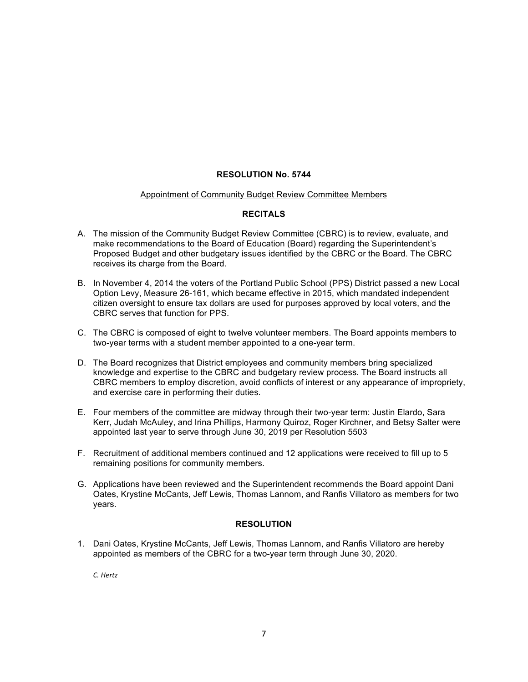#### Appointment of Community Budget Review Committee Members

#### **RECITALS**

- A. The mission of the Community Budget Review Committee (CBRC) is to review, evaluate, and make recommendations to the Board of Education (Board) regarding the Superintendent's Proposed Budget and other budgetary issues identified by the CBRC or the Board. The CBRC receives its charge from the Board.
- B. In November 4, 2014 the voters of the Portland Public School (PPS) District passed a new Local Option Levy, Measure 26-161, which became effective in 2015, which mandated independent citizen oversight to ensure tax dollars are used for purposes approved by local voters, and the CBRC serves that function for PPS.
- C. The CBRC is composed of eight to twelve volunteer members. The Board appoints members to two-year terms with a student member appointed to a one-year term.
- D. The Board recognizes that District employees and community members bring specialized knowledge and expertise to the CBRC and budgetary review process. The Board instructs all CBRC members to employ discretion, avoid conflicts of interest or any appearance of impropriety, and exercise care in performing their duties.
- E. Four members of the committee are midway through their two-year term: Justin Elardo, Sara Kerr, Judah McAuley, and Irina Phillips, Harmony Quiroz, Roger Kirchner, and Betsy Salter were appointed last year to serve through June 30, 2019 per Resolution 5503
- F. Recruitment of additional members continued and 12 applications were received to fill up to 5 remaining positions for community members.
- G. Applications have been reviewed and the Superintendent recommends the Board appoint Dani Oates, Krystine McCants, Jeff Lewis, Thomas Lannom, and Ranfis Villatoro as members for two years.

#### **RESOLUTION**

1. Dani Oates, Krystine McCants, Jeff Lewis, Thomas Lannom, and Ranfis Villatoro are hereby appointed as members of the CBRC for a two-year term through June 30, 2020.

*C. Hertz*